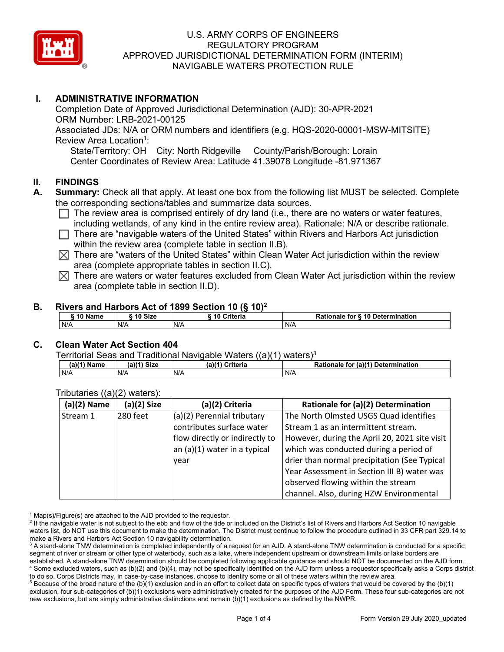

# **I. ADMINISTRATIVE INFORMATION**

Completion Date of Approved Jurisdictional Determination (AJD): 30-APR-2021 ORM Number: LRB-2021-00125 Associated JDs: N/A or ORM numbers and identifiers (e.g. HQS-2020-00001-MSW-MITSITE) Review Area Location<sup>1</sup>: State/Territory: OH City: North Ridgeville County/Parish/Borough: Lorain

Center Coordinates of Review Area: Latitude 41.39078 Longitude -81.971367

### **II. FINDINGS**

- **A. Summary:** Check all that apply. At least one box from the following list MUST be selected. Complete the corresponding sections/tables and summarize data sources.
	- $\Box$  The review area is comprised entirely of dry land (i.e., there are no waters or water features, including wetlands, of any kind in the entire review area). Rationale: N/A or describe rationale.
	- $\Box$  There are "navigable waters of the United States" within Rivers and Harbors Act jurisdiction within the review area (complete table in section II.B).
	- $\boxtimes$  There are "waters of the United States" within Clean Water Act jurisdiction within the review area (complete appropriate tables in section II.C).
	- $\boxtimes$  There are waters or water features excluded from Clean Water Act jurisdiction within the review area (complete table in section II.D).

#### **B. Rivers and Harbors Act of 1899 Section 10 (§ 10)2**

| 10 Name<br>10 Size<br>Criteria<br>Rationale for § 10 Determination |  |
|--------------------------------------------------------------------|--|
| N/A<br>N/A<br>N/A<br>N/A                                           |  |

### **C. Clean Water Act Section 404**

Territorial Seas and Traditional Navigable Waters  $((a)(1)$  waters)<sup>3</sup>

| (a)(1) Name | <sup>∴</sup> Size<br>(a) | $(a)$ <sup><math>(4)</math></sup><br>∖ Criteria | (a)(1) Determination<br><b>Rationale</b><br>for |
|-------------|--------------------------|-------------------------------------------------|-------------------------------------------------|
| N/A         | N/A                      | N/A                                             | N/A                                             |

| $(a)(2)$ Name | (a)(2) Size | (a)(2) Criteria                | Rationale for (a)(2) Determination            |
|---------------|-------------|--------------------------------|-----------------------------------------------|
| Stream 1      | 280 feet    | (a)(2) Perennial tributary     | The North Olmsted USGS Quad identifies        |
|               |             | contributes surface water      | Stream 1 as an intermittent stream.           |
|               |             | flow directly or indirectly to | However, during the April 20, 2021 site visit |
|               |             | an $(a)(1)$ water in a typical | which was conducted during a period of        |
|               |             | vear                           | drier than normal precipitation (See Typical  |
|               |             |                                | Year Assessment in Section III B) water was   |
|               |             |                                | observed flowing within the stream            |
|               |             |                                | channel. Also, during HZW Environmental       |

Tributaries ((a)(2) waters):

 $1$  Map(s)/Figure(s) are attached to the AJD provided to the requestor.

 $5$  Because of the broad nature of the (b)(1) exclusion and in an effort to collect data on specific types of waters that would be covered by the (b)(1) exclusion, four sub-categories of (b)(1) exclusions were administratively created for the purposes of the AJD Form. These four sub-categories are not new exclusions, but are simply administrative distinctions and remain (b)(1) exclusions as defined by the NWPR.

<sup>&</sup>lt;sup>2</sup> If the navigable water is not subject to the ebb and flow of the tide or included on the District's list of Rivers and Harbors Act Section 10 navigable waters list, do NOT use this document to make the determination. The District must continue to follow the procedure outlined in 33 CFR part 329.14 to make a Rivers and Harbors Act Section 10 navigability determination.

<sup>&</sup>lt;sup>3</sup> A stand-alone TNW determination is completed independently of a request for an AJD. A stand-alone TNW determination is conducted for a specific segment of river or stream or other type of waterbody, such as a lake, where independent upstream or downstream limits or lake borders are established. A stand-alone TNW determination should be completed following applicable guidance and should NOT be documented on the AJD form. <sup>4</sup> Some excluded waters, such as (b)(2) and (b)(4), may not be specifically identified on the AJD form unless a requestor specifically asks a Corps district to do so. Corps Districts may, in case-by-case instances, choose to identify some or all of these waters within the review area.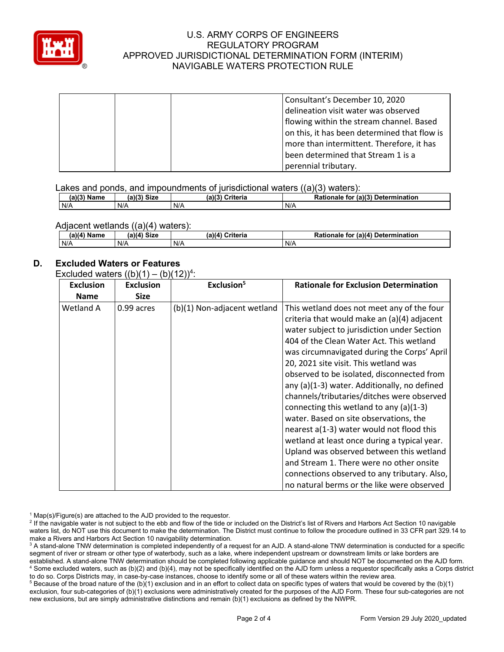

| Consultant's December 10, 2020               |
|----------------------------------------------|
| delineation visit water was observed         |
| flowing within the stream channel. Based     |
| on this, it has been determined that flow is |
| more than intermittent. Therefore, it has    |
| been determined that Stream 1 is a           |
| perennial tributary.                         |

Lakes and ponds, and impoundments of jurisdictional waters  $((a)(3)$  waters):

| $(a)(3)$ Name | $\cdot$ ) $(3)$ Size | ו טיוטואר ויטואיו טוטוסווטווטאוויט טווטווטוואר וואס וואר וואס ושמונו או וואס וואס וואס שטווט<br>a)(3)<br>Criteria | <b>Rationale for (a)(3) Determination</b> |
|---------------|----------------------|-------------------------------------------------------------------------------------------------------------------|-------------------------------------------|
| N/A           | N/A                  | N/A                                                                                                               | N/A                                       |

#### Adjacent wetlands ((a)(4) waters):

| (a)(4) Name | (a)(4) Size | (a)(4) Criteria | Rationale for (a)(4) Determination |
|-------------|-------------|-----------------|------------------------------------|
| N/A         | N/A         | N/A             | N/A                                |

### **D. Excluded Waters or Features**

Excluded waters  $((b)(1) - (b)(12))^4$ :

| <b>Exclusion</b> | <b>Exclusion</b> | Exclusion <sup>5</sup>      | <b>Rationale for Exclusion Determination</b>                                                                                                                                                                                                                                                                                                                                                                                                                                                                                                                                                                                                                                                                                                                                                     |
|------------------|------------------|-----------------------------|--------------------------------------------------------------------------------------------------------------------------------------------------------------------------------------------------------------------------------------------------------------------------------------------------------------------------------------------------------------------------------------------------------------------------------------------------------------------------------------------------------------------------------------------------------------------------------------------------------------------------------------------------------------------------------------------------------------------------------------------------------------------------------------------------|
| <b>Name</b>      | <b>Size</b>      |                             |                                                                                                                                                                                                                                                                                                                                                                                                                                                                                                                                                                                                                                                                                                                                                                                                  |
| Wetland A        | 0.99 acres       | (b)(1) Non-adjacent wetland | This wetland does not meet any of the four<br>criteria that would make an (a)(4) adjacent<br>water subject to jurisdiction under Section<br>404 of the Clean Water Act. This wetland<br>was circumnavigated during the Corps' April<br>20, 2021 site visit. This wetland was<br>observed to be isolated, disconnected from<br>any (a)(1-3) water. Additionally, no defined<br>channels/tributaries/ditches were observed<br>connecting this wetland to any (a)(1-3)<br>water. Based on site observations, the<br>nearest a(1-3) water would not flood this<br>wetland at least once during a typical year.<br>Upland was observed between this wetland<br>and Stream 1. There were no other onsite<br>connections observed to any tributary. Also,<br>no natural berms or the like were observed |

 $1$  Map(s)/Figure(s) are attached to the AJD provided to the requestor.

<sup>2</sup> If the navigable water is not subject to the ebb and flow of the tide or included on the District's list of Rivers and Harbors Act Section 10 navigable waters list, do NOT use this document to make the determination. The District must continue to follow the procedure outlined in 33 CFR part 329.14 to make a Rivers and Harbors Act Section 10 navigability determination.

<sup>3</sup> A stand-alone TNW determination is completed independently of a request for an AJD. A stand-alone TNW determination is conducted for a specific segment of river or stream or other type of waterbody, such as a lake, where independent upstream or downstream limits or lake borders are established. A stand-alone TNW determination should be completed following applicable guidance and should NOT be documented on the AJD form. <sup>4</sup> Some excluded waters, such as (b)(2) and (b)(4), may not be specifically identified on the AJD form unless a requestor specifically asks a Corps district to do so. Corps Districts may, in case-by-case instances, choose to identify some or all of these waters within the review area.

<sup>5</sup> Because of the broad nature of the (b)(1) exclusion and in an effort to collect data on specific types of waters that would be covered by the (b)(1) exclusion, four sub-categories of (b)(1) exclusions were administratively created for the purposes of the AJD Form. These four sub-categories are not new exclusions, but are simply administrative distinctions and remain (b)(1) exclusions as defined by the NWPR.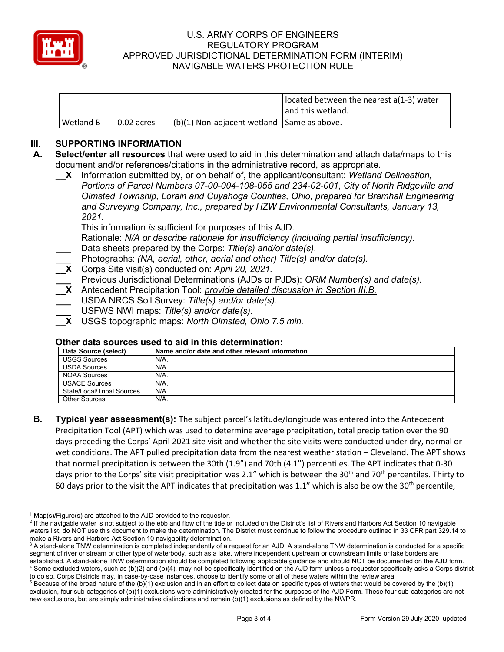

|           |            |                                            | located between the nearest a(1-3) water |
|-----------|------------|--------------------------------------------|------------------------------------------|
|           |            |                                            | l and this wetland.                      |
| Wetland B | 0.02 acres | (b)(1) Non-adjacent wetland Same as above. |                                          |

# **III. SUPPORTING INFORMATION**

- **A. Select/enter all resources** that were used to aid in this determination and attach data/maps to this document and/or references/citations in the administrative record, as appropriate.
	- **\_\_X** Information submitted by, or on behalf of, the applicant/consultant: *Wetland Delineation, Portions of Parcel Numbers 07-00-004-108-055 and 234-02-001, City of North Ridgeville and Olmsted Township, Lorain and Cuyahoga Counties, Ohio, prepared for Bramhall Engineering and Surveying Company, Inc., prepared by HZW Environmental Consultants, January 13, 2021.*

This information *is* sufficient for purposes of this AJD.

Rationale: *N/A or describe rationale for insufficiency (including partial insufficiency).*

- **\_\_\_** Data sheets prepared by the Corps: *Title(s) and/or date(s).*
- **\_\_\_** Photographs: *(NA, aerial, other, aerial and other) Title(s) and/or date(s).*
- **\_\_X** Corps Site visit(s) conducted on: *April 20, 2021.*
- **\_\_\_** Previous Jurisdictional Determinations (AJDs or PJDs): *ORM Number(s) and date(s).*
- **\_\_X** Antecedent Precipitation Tool: *provide detailed discussion in Section III.B.*
- **\_\_\_** USDA NRCS Soil Survey: *Title(s) and/or date(s).*
- **\_\_\_** USFWS NWI maps: *Title(s) and/or date(s).*
- **\_\_X** USGS topographic maps: *North Olmsted, Ohio 7.5 min.*

# **Other data sources used to aid in this determination:**

| Data Source (select)       | Name and/or date and other relevant information |
|----------------------------|-------------------------------------------------|
| <b>USGS Sources</b>        | N/A.                                            |
| <b>USDA Sources</b>        | N/A.                                            |
| <b>NOAA Sources</b>        | N/A.                                            |
| <b>USACE Sources</b>       | N/A.                                            |
| State/Local/Tribal Sources | $N/A$ .                                         |
| <b>Other Sources</b>       | N/A.                                            |

**B. Typical year assessment(s):** The subject parcel's latitude/longitude was entered into the Antecedent Precipitation Tool (APT) which was used to determine average precipitation, total precipitation over the 90 days preceding the Corps' April 2021 site visit and whether the site visits were conducted under dry, normal or wet conditions. The APT pulled precipitation data from the nearest weather station – Cleveland. The APT shows that normal precipitation is between the 30th (1.9") and 70th (4.1") percentiles. The APT indicates that 0-30 days prior to the Corps' site visit precipitation was 2.1" which is between the 30<sup>th</sup> and 70<sup>th</sup> percentiles. Thirty to 60 days prior to the visit the APT indicates that precipitation was 1.1" which is also below the 30<sup>th</sup> percentile,

 $1$  Map(s)/Figure(s) are attached to the AJD provided to the requestor.

<sup>&</sup>lt;sup>2</sup> If the navigable water is not subject to the ebb and flow of the tide or included on the District's list of Rivers and Harbors Act Section 10 navigable waters list, do NOT use this document to make the determination. The District must continue to follow the procedure outlined in 33 CFR part 329.14 to make a Rivers and Harbors Act Section 10 navigability determination.

<sup>&</sup>lt;sup>3</sup> A stand-alone TNW determination is completed independently of a request for an AJD. A stand-alone TNW determination is conducted for a specific segment of river or stream or other type of waterbody, such as a lake, where independent upstream or downstream limits or lake borders are established. A stand-alone TNW determination should be completed following applicable guidance and should NOT be documented on the AJD form. <sup>4</sup> Some excluded waters, such as (b)(2) and (b)(4), may not be specifically identified on the AJD form unless a requestor specifically asks a Corps district to do so. Corps Districts may, in case-by-case instances, choose to identify some or all of these waters within the review area.

 $5$  Because of the broad nature of the (b)(1) exclusion and in an effort to collect data on specific types of waters that would be covered by the (b)(1) exclusion, four sub-categories of (b)(1) exclusions were administratively created for the purposes of the AJD Form. These four sub-categories are not new exclusions, but are simply administrative distinctions and remain (b)(1) exclusions as defined by the NWPR.